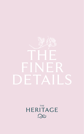# THE FINER DETAILS

**HERITAGE** LXJ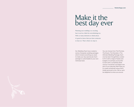### Make it the best day ever

Planning your wedding is so exciting, but it can be a little bit overwhelming too. With so many elements to think about, it's good to know that you have someone to lean on. That's where we step in.

Our Wedding Team have created a series of bespoke wedding packages which include everything you need to make your day spectacular. Each package is customisable to your own individual style.

You can choose from The Promise, The Dream, The Fairytale or The Ultimate Wedding Package. Each one has been thoughtfully curated to fit in with a range of tastes and budgets. Or perhaps you'd prefer to start with a completely blank canvas. It would be a privilege to be part of your planning. We'll help you to create something unique that's totally personal to you. Call us, we'd be delighted to show you around.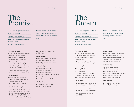### The Promise

#### 2023 - €70 per person weekends

(Fridays / Saturdays)

€68 per person midweek

2024 - €75 per person weekends

(Fridays / Saturdays)

€70 per person midweek

#### **Welcome Reception**

- Complimentary Prosecco for the wedding couple on arrival
- The Heritage Cosmopolitan cocktails for all your guests
- A choice of Two Canapés which include: Confit Duck, Filo, Apple & Fig Chutney & Goats Cheese, Sourdough, Beetroot Relish
- Freshly brewed tea and coffee served with homemade cookies

### **Wedding Meal**

- 5 course meal (1 starter, soup course, 2 main courses , trio of desserts, Tea/Coffee)
- half bottle of wine per person

### **After Party – Evening Reception**

• Selection of finger food including, Crispy Chicken Bites, with Sweet Chilli & Lime, Spiced Vegetable & Tofu Samosa, BBQ Aioli & Honey and Mustard Sausage with Toasted Sesame

Off peak – Available from January through to March 2023 & 2024 on selected dates, (minimum numbers apply)

• Bar extension in the ballroom until 2.00am

### **Accommodation**

- Penthouse Suite for the Wedding Couple on your wedding night
- Reduced guests accommodation

#### **Décor to Delight**

- Centrepieces consisting of a five-stem candelabra
- Personalised table plans, place cards and menus for top table
- Use of hotel's cake stand and Newbridge silver cake knife

### **Extra Touches**

• Pre-wedding menu tasting for the Wedding Couple

### The Dream

2023 - €79 per person weekends (Fridays / Saturdays) €69 per person midweek 2024 - €85 per person weekends (Fridays / Saturdays)

€75 per person midweek

### **Welcome Reception**

• Complimentary Prosecco for the Wedding Couple on arrival

- Glass of Prosecco on arrival for all guests
- Freshly brewed tea and coffee served with homemade cookies and freshly baked scones

### **Wedding Meal**

• 5 course meal (1 starter, soup course, 2 main courses, 1 dessert, Tea/Coffee)

• Half bottle of wine per person

### **After Party**

• Evening Reception – selection of sandwiches, chicken / fish goujons served in cones with homemade chips and selection of dips and sauces, served with Tea/Coffee • Bar extension in the ballroom until 2.00am

Off Peak - Available November – March, minimum numbers apply (excluding Christmas Week/New Year's)

### **Accommodation**

- Penthouse Suite for the Wedding Couple on your wedding night
- Reduced accommodation rates on wedding block. (Please ask your wedding coordinator for rate)

### **Décor to Delight**

- Centrepieces consisting of a five-stem candelabra
- Personalised table plans, place cards and menus for top table
- Use of hotel's cake stand and Newbridge silver cake knife

### **Extra Touches**

• Pre-wedding menu tasting for the Wedding Couple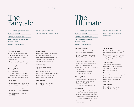## The Fairytale

#### 2023 - €89 per person weekends

(Fridays / Saturdays)

€79 per person midweek

- 2024 €95 per person weekends
- (Fridays / Saturdays)

€85 per person midweek

### **Welcome Reception**

• Complimentary Prosecco for the Wedding couple on arrival

- Glass of Prosecco on arrival for all guests
- Freshly brewed tea and coffee served with homemade cookies and freshly baked scones

### **Wedding Meal**

• 5 course meal (1 starter, soup course, 2 main courses , 1 dessert, Tea/Coffee

• Half bottle of wine per person

### **After Party**

- Evening Reception selection of sandwiches, chicken / fish goujons served in cones with homemade chips and selection of dips and sauces, served with Tea/Coffee
- Bar Extension in the ballroom until 2.00am

### Available April-October and December minimum numbers apply

### **Accommodation**

- Penthouse Suite for the Wedding Couple on your wedding night
- Reduced accommodation rates on wedding block. (Please ask your wedding coordinator for rate)

### **Décor to Delight**

- Centrepieces consisting of a five-stem candelabra
- Personalised table plans, place cards and menus for top table
- Use of hotel's cake stand and Newbridge silver cake knife

### **Extra Touches**

• Pre-wedding menu tasting for the Wedding Couple

### The Ultimate

2023 - €99 per person weekends

### (Fridays / Saturdays)

€89 per person midweek\

€105 per person weekends

(Fridays / Saturdays)

### €95 per person midweek

### **Welcome Reception**

- Complimentary Prosecco for the Wedding Couple on arrival
- Choice of Glass of Prosecco or Bottle of Beer on arrival for all guests
- Freshly brewed tea and coffee served with homemade cookies and freshly baked scones
- Selection of Canapés for all guests (Choice of 4)
- Resident pianist on arrival to entertain your guests

### **Wedding Meal**

- 5 course meal (2 starters, choice of soup or sorbet, 2 main courses, 2 desserts, Tea/Coffee
- Half bottle of wine per person

### **After Party**

- Evening Buffet: Selection of sandwiches, mini burgers, gourmet pizza slices, chicken skewers, pulled pork baps and rustic chips for your guests to feast on, served with Tea/Coffee
- Bar extension in the ballroom until 2.00am

Available throughout the year, January – December, minimum numbers apply

### **Accommodation**

- Penthouse Suite for the Wedding Couple on your wedding night
- Reduced accommodation rates on wedding block. (Please ask your wedding coordinator for rate)

### **Décor to Delight**

- Selection of cherry blossom trees and crystal candelabras as centrepieces on tables
- Fairy light backdrop (30ft)
- Personalised table plans, place cards and menus for top table
- Use of hotel's cake stand and Newbridge silver cake knife
- Gold Cloths

### **Extra Touches**

• Pre-wedding menu tasting for the Wedding Couple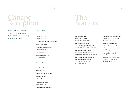### Canapé Reception

If you wish to add Canapés to your arrivals drinks reception. Please enquire with your wedding coordinator for pricing.

### Cold Selection

**Duck Liver Pâté**  With red onion jam

**Bruschetta of Buffalo Mozzarella** With tomato relish

**Crostini of Goat's Cheese**  With red pepper

**Smoked Salmon**  With crème fraîche on Irish soda bread

Hot Selection

**Thai Prawn Purse**  With Coriander

**Curried Chicken Bouchee**

**Duck Spring Roll**  With Hoi Sin

**Vegetable Samosa** 

With Mango Dip

**Spiced Chicken Brochette**

### The Starters

**Chicken and Wild Mushroom Bouchee**  Flavoured with tarragon

**Classic Caesar Salad**  With crisp smoked bacon, garlic croutons and Parmesan shavings

**Clonakilty Black Pudding**  Stuffed with blue cheese, apple compote and a raspberry dressing

**Heritage Lime and Brennans Gin Cured Salmon Salad**  With capers, lemon and a citrus dressing

**Baked Goats Cheese Crostini**

With red onion marmalade and a balsamic glaze

### **Tempura Tiger Prawns**

With washbi mayonnaise and a pineapple and chilli salsa (€5.00 supplement)

### **Smoked Salmon and Crab Roulade**

With a tomato and red onion salsa and avocado mousse (€5.00 supplement)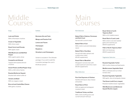### Middle Courses

### Soup

**Leek and Potato**  With a Parmesan croutons

**Cream of Vegetable**  With chive cream

**Roast Carrot and Parsnip**  With apple cream

**Wild Mushroom and Bell Red Pepper**

With a garlic pastry straw

**Courgette and Almond** 

Topped with toasted almond croutons

**Sweet Potato and Red Pepper Soup** With a chilli crème fraîche

**Roasted Butternut Squash**  Drizzled with white truffle oil

**Tomato and Basil**  With an oregano cream

**Broccoli and Cashel Blue Cheese**  With garlic croutons

### Sorbets **Brennans Gin and Tonic Mango and Passion Fruit Lemon and Thyme Champagne**

**Raspberry**

**Strawberry and Champagne**

*Sorbet is included in The Ultimate package, If you wish to add this to another package the cost is €5.00 per person*

### Main Courses

### Fish Selection

**Baked Fillet of Salmon, Parmesan and Herb Crust**  Served with a sorrel cream

**Baked Fillet of Cod**  With a herb crust and hollandaise sauce

**Baked Fillet of Sea Bass**  Served with baby spinach and a white wine cream (€5.00 supplement)

### **Roast Fillet of Monkfish**  Wrapped in serrano ham with a wild mushroom and chive cream (€5.00 supplement)

### Meat Selection

**Pan-fried Supreme of Chicken** Stuffed with bacon, blue cheese and potato

**Roast Rack of Pork**  With an apple and wholegrain mustard cream

**Traditional Turkey and Ham**  With a herb stuffing and a red currant and port wine jus

### **Roast Sirloin of north Tipperary Beef**  With a rich madeira sauce

**Roast Rack of Laois Lamb**  With a herb crust and roasted garlic and rosemary jus (€8.00 supplement)

**Fillet of North Tipperary Beef**  With rich thyme jus (€8.00 supplement)

### Vegetarian Selection

**Roasted Vegetable Tartlet** With ricotta cheese and basil pesto

### **Mediterranean Vegetable Stack**

With a chickpea and sun-dried tomato stew

**Roasted Vegetable Tagliatelle** With garlic, olive oil and goats cheese

**Thai Green Lentil Curry (vegan)** Roasted mediterranean vegetables

**Wild Mushroom and Butternut Squash Risotto (vegan)**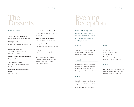### **The** Desserts

### Individual Desserts

### **Warm Sticky Toffee Pudding**

Covered in rich butterscotch sauce

#### **Meringue Nest**

Filled with mixed berries and praline cream

### **Lemon and Lime Tart**

Served Rossmore farm salted caramel ice-cream

### **Salted Caramel and Chocolate Tart**

Rossmore farm vanilla ice cream

### **Vanilla Crème Brûlée**

Raspberry compote, sweet sable biscuit

### **Mango and Passion Fruit Cheese Cake**

Chocolate tuile

**Warm Apple and Blackberry Tartlet** Crème anglaise, Rossmore vanilla ice cream

**Warm Pear and Almond Tart** 

Pear sorbet and caramel sauce

**Orange Pannacotta**  Chocolate sauce and chocolate tuile

Freshly brewed tea and coffee included in the dessert price

Note: The Heritage Assiette Plate - Please enquire with your wedding coordinator about options and pricing.

### Evening **Reception**

If you wish to change your evening food options, please see some sample menus below. For pricing please talk to your wedding coordinator.

### Option 1

Selection of closed sandwiches and wraps, cocktail sausages Freshly brewed tea and coffee

### Option 2

Mini fish and chicken goujons and chips served in Individual paper cones with a selection of dips Freshly brewed tea and coffee

### Option 3

Selection of closed sandwiches, cocktail sausages, chicken goujons and chips Freshly brewed tea and coffee

### Option 4

Mini beef sliders served on brioche buns Mini pizza bites Mini pulled pork baps Freshly brewed tea and coffee

### Option 5

Warm carved roast turkey and honey roast ham served with bread rolls Freshly brewed tea and coffee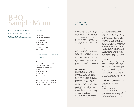### BBQ Sample Menu

Continue the celebrations the day after your wedding with an 'I do' BBQ From €45 per person

### BBQ Menu

### Beef burger

Thai marinated chicken Pork sausages Selection of salads Baked potato Selection of breads Tea / coffee

### Additional Items can be added from

the below list

Minute steak Steak, chicken and prawn Kebabs Pork belly & pork ribs Skewered jumbo tiger prawns Salads Selection of desserts Suckling pig *Minimum of 40 people required*

Note: Please enquire with your wedding coordinator regarding pricing for individual items.

### Wedding Contract

### Terms and Conditions

All prices quoted are in Euro and are fully inclusive of VAT. Prices may be subject to proportionate increases according to rises of food, labour costs, government taxes, VAT or unforeseen circumstances.

One provisional wedding date can be held for you for up to 14 days, at which time it is at the Hotel's discretion to release the date unless a deposit is received.

#### **Payment and Deposits**

A non-refundable deposit of €1,500.00 is required to secure all bookings. 6 months in advance of the wedding 50% of the overall total bill is due (the total is based on your agreed minimum numbers). 3 months in advance of the wedding a further 25% of the total bill is due (75% of the bill in total). Your final numbers are due 3 days in advance of the wedding, a pro forma invoice will then be issued and 100% of overall bill is then due.

#### **Accommodation**

A maximum allocation of deluxe guestrooms will be assigned for all weddings booked at The Heritage. A reduced accommodation rate will be available for your wedding guests. We invite your wedding guests to book their accommodation directly through our Reservations Department, to avail of discounted wedding rates. Additional rooms will be subject to availability at time of booking and rates may vary. If rooms are required for nights before or after the wedding day, please advise at time of wedding booking to ensure availability of rooms as we cannot guarantee availability of rooms closer to the date.

Any rooms on your wedding allocation which have not been confirmed 28

days in advance of the wedding will be automatically released. Any further bookings after this date will be subject to availability. Bedrooms will not be available for check-in before 3.00pm on the day of arrival and check out is no later than 11.30am on your day of departure. Should you require check in or check out times outside of the stipulated time, please advise Reservations Department and we will do our best to facilitate your requirements.

All hotel guestrooms sleep up to a max of 2 adult guests with exception to a limited number of family rooms where we can offer accommodation for up to 2 adults and 2 children per family room with a room supplement per family room per night.

#### **Food and Beverage**

Confirmation of your wedding menu and wine choice is required 2 weeks before your wedding date to ensure availability. We will endeavour to facilitate your request at all times. Special dietary requirements for guests will be required one week before your wedding date. The Heritage policy and Government Health Regulations state that all food consumed on the premises must be prepared on the premises, with the exception of the Wedding Cake.

We regret that **under no circumstances is corkage permitted at The Heritage,** this is company policy. We have an attractive selection of affordable wines to suit everyone's budget.

A Bar Extension can be arranged until 2.00am at an extra charge.

We are delighted to offer one complimentary menu tasting of your agreed chosen wedding menu for the Wedding Couple only. Any additional guests or menu options will be charged in full on the tasting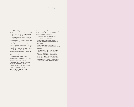### **Cancellation Policy**

Should unforeseen circumstances result in the postponement or cancellation of your wedding, the deposit paid to-date can be transferred to an alternative date within 6 months of the original date, otherwise a full cancellation of your wedding with The Heritage will forfeit your full deposit.

In the unfortunate event you need to cancel a confirmed wedding booking, The Heritage will make every reasonable effort to resell the facilities on the client's behalf. If the effort to re-sell fails the following cancellation charges will be levied on the client:

- Prior to 4 months from the arrival date Full deposits are non-refundable
- From 4 months to 6 weeks from arrival date 25% of services booked
- From 6 weeks to 4 weeks from arrival date 50% of services booked
- From 4 weeks to 2 weeks from arrival date 70% of services booked
- Within 2 weeks of arrival date 100% of services booked

Please note payment of cancellation charge is within 14 days from date of invoice.

Cancellation by The Heritage:

The Heritage may cancel the event in the following circumstances:

- The Heritage has reason to believe the booking might prejudice the reputation of the hotel.
- The Heritage receives evidence of any adverse alterations on the client's financial situation.
- Performance of this agreement is subject to labour troubles, disputes or strikes, accidents, government requisitions, restrictions upon travel, transportation, foods, beverages or supplies, Act of God or any other cause that would prevent the management or interfere with their ability to carry out their side of the agreement.